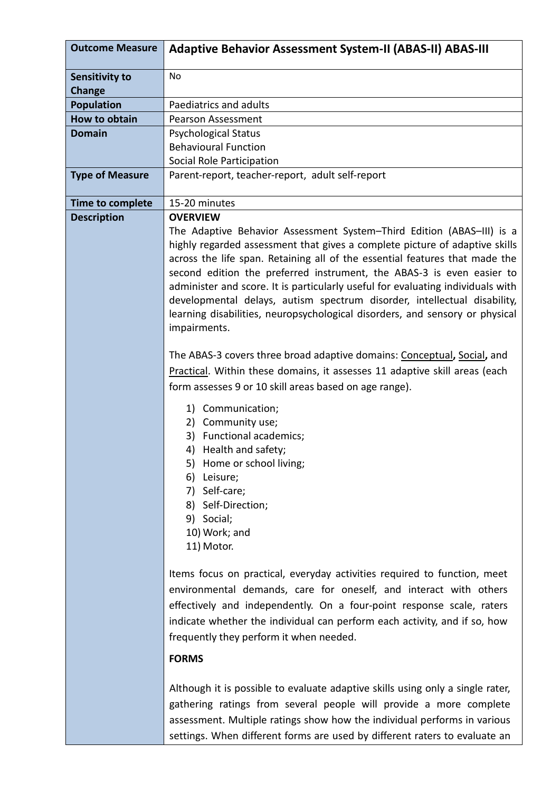| <b>Outcome Measure</b>                 | <b>Adaptive Behavior Assessment System-II (ABAS-II) ABAS-III</b>                                                                                                                                                                                                                                                                                                                                                                                                                                                                                                            |
|----------------------------------------|-----------------------------------------------------------------------------------------------------------------------------------------------------------------------------------------------------------------------------------------------------------------------------------------------------------------------------------------------------------------------------------------------------------------------------------------------------------------------------------------------------------------------------------------------------------------------------|
| <b>Sensitivity to</b><br><b>Change</b> | <b>No</b>                                                                                                                                                                                                                                                                                                                                                                                                                                                                                                                                                                   |
| <b>Population</b>                      | Paediatrics and adults                                                                                                                                                                                                                                                                                                                                                                                                                                                                                                                                                      |
| <b>How to obtain</b>                   | <b>Pearson Assessment</b>                                                                                                                                                                                                                                                                                                                                                                                                                                                                                                                                                   |
| <b>Domain</b>                          | <b>Psychological Status</b>                                                                                                                                                                                                                                                                                                                                                                                                                                                                                                                                                 |
|                                        | <b>Behavioural Function</b>                                                                                                                                                                                                                                                                                                                                                                                                                                                                                                                                                 |
|                                        | Social Role Participation                                                                                                                                                                                                                                                                                                                                                                                                                                                                                                                                                   |
| <b>Type of Measure</b>                 | Parent-report, teacher-report, adult self-report                                                                                                                                                                                                                                                                                                                                                                                                                                                                                                                            |
| Time to complete                       | 15-20 minutes                                                                                                                                                                                                                                                                                                                                                                                                                                                                                                                                                               |
| <b>Description</b>                     | <b>OVERVIEW</b>                                                                                                                                                                                                                                                                                                                                                                                                                                                                                                                                                             |
|                                        | The Adaptive Behavior Assessment System-Third Edition (ABAS-III) is a<br>highly regarded assessment that gives a complete picture of adaptive skills<br>across the life span. Retaining all of the essential features that made the<br>second edition the preferred instrument, the ABAS-3 is even easier to<br>administer and score. It is particularly useful for evaluating individuals with<br>developmental delays, autism spectrum disorder, intellectual disability,<br>learning disabilities, neuropsychological disorders, and sensory or physical<br>impairments. |
|                                        | The ABAS-3 covers three broad adaptive domains: Conceptual, Social, and<br>Practical. Within these domains, it assesses 11 adaptive skill areas (each<br>form assesses 9 or 10 skill areas based on age range).                                                                                                                                                                                                                                                                                                                                                             |
|                                        | Communication;<br>1)<br>Community use;<br>2)<br><b>Functional academics;</b><br>3)<br>4) Health and safety;<br>Home or school living;<br>5)<br>Leisure;<br>6)<br>Self-care;<br>7)<br>Self-Direction;<br>8)<br>9)<br>Social;<br>10) Work; and<br>11) Motor.                                                                                                                                                                                                                                                                                                                  |
|                                        | Items focus on practical, everyday activities required to function, meet<br>environmental demands, care for oneself, and interact with others<br>effectively and independently. On a four-point response scale, raters<br>indicate whether the individual can perform each activity, and if so, how<br>frequently they perform it when needed.<br><b>FORMS</b>                                                                                                                                                                                                              |
|                                        | Although it is possible to evaluate adaptive skills using only a single rater,<br>gathering ratings from several people will provide a more complete<br>assessment. Multiple ratings show how the individual performs in various                                                                                                                                                                                                                                                                                                                                            |

settings. When different forms are used by different raters to evaluate an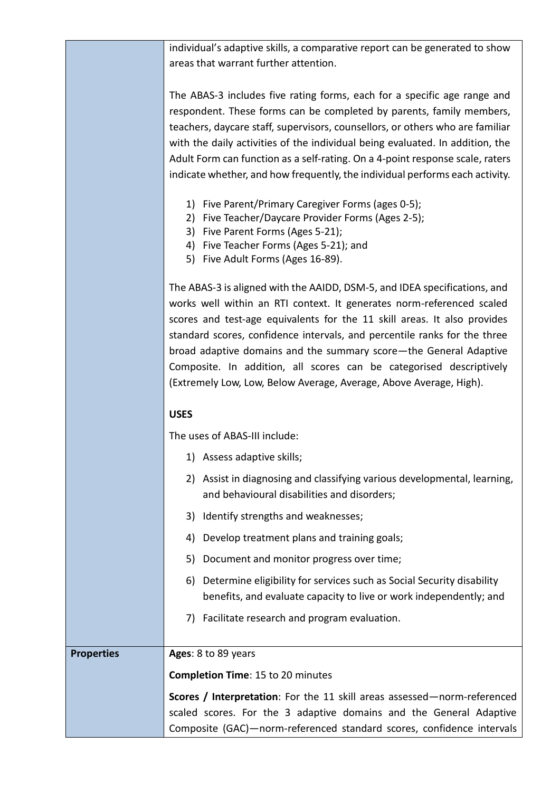|                   | individual's adaptive skills, a comparative report can be generated to show   |
|-------------------|-------------------------------------------------------------------------------|
|                   | areas that warrant further attention.                                         |
|                   |                                                                               |
|                   | The ABAS-3 includes five rating forms, each for a specific age range and      |
|                   | respondent. These forms can be completed by parents, family members,          |
|                   | teachers, daycare staff, supervisors, counsellors, or others who are familiar |
|                   | with the daily activities of the individual being evaluated. In addition, the |
|                   | Adult Form can function as a self-rating. On a 4-point response scale, raters |
|                   | indicate whether, and how frequently, the individual performs each activity.  |
|                   | 1) Five Parent/Primary Caregiver Forms (ages 0-5);                            |
|                   | 2) Five Teacher/Daycare Provider Forms (Ages 2-5);                            |
|                   | 3) Five Parent Forms (Ages 5-21);                                             |
|                   | 4) Five Teacher Forms (Ages 5-21); and                                        |
|                   | 5) Five Adult Forms (Ages 16-89).                                             |
|                   | The ABAS-3 is aligned with the AAIDD, DSM-5, and IDEA specifications, and     |
|                   | works well within an RTI context. It generates norm-referenced scaled         |
|                   | scores and test-age equivalents for the 11 skill areas. It also provides      |
|                   | standard scores, confidence intervals, and percentile ranks for the three     |
|                   | broad adaptive domains and the summary score—the General Adaptive             |
|                   | Composite. In addition, all scores can be categorised descriptively           |
|                   | (Extremely Low, Low, Below Average, Average, Above Average, High).            |
|                   | <b>USES</b>                                                                   |
|                   | The uses of ABAS-III include:                                                 |
|                   | 1) Assess adaptive skills;                                                    |
|                   | Assist in diagnosing and classifying various developmental, learning,<br>2)   |
|                   | and behavioural disabilities and disorders;                                   |
|                   | Identify strengths and weaknesses;<br>3)                                      |
|                   | Develop treatment plans and training goals;<br>4)                             |
|                   | Document and monitor progress over time;<br>5)                                |
|                   | Determine eligibility for services such as Social Security disability<br>6)   |
|                   | benefits, and evaluate capacity to live or work independently; and            |
|                   | 7) Facilitate research and program evaluation.                                |
| <b>Properties</b> | Ages: 8 to 89 years                                                           |
|                   |                                                                               |
|                   | <b>Completion Time: 15 to 20 minutes</b>                                      |
|                   | Scores / Interpretation: For the 11 skill areas assessed-norm-referenced      |
|                   | scaled scores. For the 3 adaptive domains and the General Adaptive            |
|                   | Composite (GAC)-norm-referenced standard scores, confidence intervals         |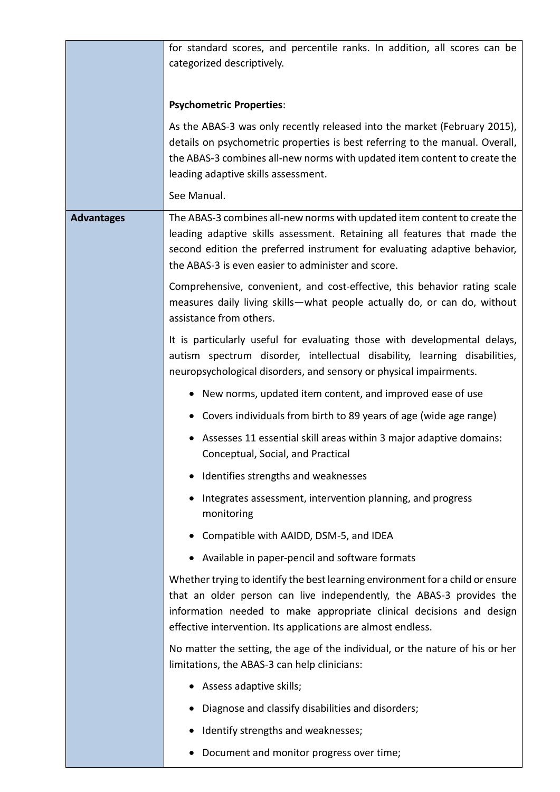|                   | for standard scores, and percentile ranks. In addition, all scores can be                                                                                                                                                                                                                      |
|-------------------|------------------------------------------------------------------------------------------------------------------------------------------------------------------------------------------------------------------------------------------------------------------------------------------------|
|                   | categorized descriptively.                                                                                                                                                                                                                                                                     |
|                   | <b>Psychometric Properties:</b>                                                                                                                                                                                                                                                                |
|                   | As the ABAS-3 was only recently released into the market (February 2015),                                                                                                                                                                                                                      |
|                   | details on psychometric properties is best referring to the manual. Overall,<br>the ABAS-3 combines all-new norms with updated item content to create the                                                                                                                                      |
|                   | leading adaptive skills assessment.                                                                                                                                                                                                                                                            |
|                   | See Manual.                                                                                                                                                                                                                                                                                    |
| <b>Advantages</b> | The ABAS-3 combines all-new norms with updated item content to create the<br>leading adaptive skills assessment. Retaining all features that made the<br>second edition the preferred instrument for evaluating adaptive behavior,<br>the ABAS-3 is even easier to administer and score.       |
|                   | Comprehensive, convenient, and cost-effective, this behavior rating scale<br>measures daily living skills-what people actually do, or can do, without<br>assistance from others.                                                                                                               |
|                   | It is particularly useful for evaluating those with developmental delays,<br>autism spectrum disorder, intellectual disability, learning disabilities,<br>neuropsychological disorders, and sensory or physical impairments.                                                                   |
|                   | New norms, updated item content, and improved ease of use                                                                                                                                                                                                                                      |
|                   | Covers individuals from birth to 89 years of age (wide age range)<br>$\bullet$                                                                                                                                                                                                                 |
|                   | Assesses 11 essential skill areas within 3 major adaptive domains:<br>$\bullet$<br>Conceptual, Social, and Practical                                                                                                                                                                           |
|                   | Identifies strengths and weaknesses                                                                                                                                                                                                                                                            |
|                   | Integrates assessment, intervention planning, and progress<br>monitoring                                                                                                                                                                                                                       |
|                   | Compatible with AAIDD, DSM-5, and IDEA                                                                                                                                                                                                                                                         |
|                   | Available in paper-pencil and software formats                                                                                                                                                                                                                                                 |
|                   | Whether trying to identify the best learning environment for a child or ensure<br>that an older person can live independently, the ABAS-3 provides the<br>information needed to make appropriate clinical decisions and design<br>effective intervention. Its applications are almost endless. |
|                   | No matter the setting, the age of the individual, or the nature of his or her<br>limitations, the ABAS-3 can help clinicians:                                                                                                                                                                  |
|                   | Assess adaptive skills;<br>$\bullet$                                                                                                                                                                                                                                                           |
|                   | Diagnose and classify disabilities and disorders;<br>$\bullet$                                                                                                                                                                                                                                 |
|                   | Identify strengths and weaknesses;                                                                                                                                                                                                                                                             |
|                   | Document and monitor progress over time;                                                                                                                                                                                                                                                       |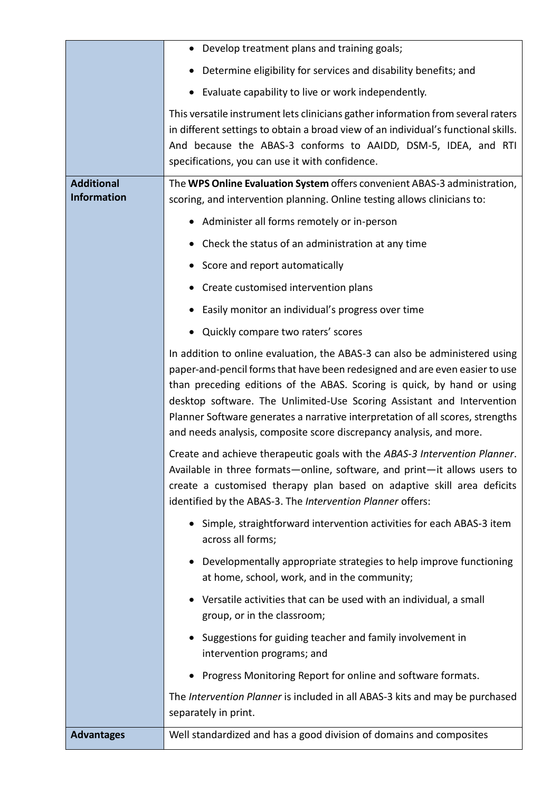|                                         | Develop treatment plans and training goals;                                                                                                                                                                                                                                                                                                                                                                                                                              |
|-----------------------------------------|--------------------------------------------------------------------------------------------------------------------------------------------------------------------------------------------------------------------------------------------------------------------------------------------------------------------------------------------------------------------------------------------------------------------------------------------------------------------------|
|                                         | Determine eligibility for services and disability benefits; and                                                                                                                                                                                                                                                                                                                                                                                                          |
|                                         | Evaluate capability to live or work independently.<br>$\bullet$                                                                                                                                                                                                                                                                                                                                                                                                          |
|                                         | This versatile instrument lets clinicians gather information from several raters<br>in different settings to obtain a broad view of an individual's functional skills.<br>And because the ABAS-3 conforms to AAIDD, DSM-5, IDEA, and RTI<br>specifications, you can use it with confidence.                                                                                                                                                                              |
| <b>Additional</b><br><b>Information</b> | The WPS Online Evaluation System offers convenient ABAS-3 administration,<br>scoring, and intervention planning. Online testing allows clinicians to:                                                                                                                                                                                                                                                                                                                    |
|                                         | Administer all forms remotely or in-person                                                                                                                                                                                                                                                                                                                                                                                                                               |
|                                         | Check the status of an administration at any time                                                                                                                                                                                                                                                                                                                                                                                                                        |
|                                         | Score and report automatically                                                                                                                                                                                                                                                                                                                                                                                                                                           |
|                                         | Create customised intervention plans                                                                                                                                                                                                                                                                                                                                                                                                                                     |
|                                         | Easily monitor an individual's progress over time                                                                                                                                                                                                                                                                                                                                                                                                                        |
|                                         | Quickly compare two raters' scores<br>$\bullet$                                                                                                                                                                                                                                                                                                                                                                                                                          |
|                                         | In addition to online evaluation, the ABAS-3 can also be administered using<br>paper-and-pencil forms that have been redesigned and are even easier to use<br>than preceding editions of the ABAS. Scoring is quick, by hand or using<br>desktop software. The Unlimited-Use Scoring Assistant and Intervention<br>Planner Software generates a narrative interpretation of all scores, strengths<br>and needs analysis, composite score discrepancy analysis, and more. |
|                                         | Create and achieve therapeutic goals with the ABAS-3 Intervention Planner.<br>Available in three formats—online, software, and print—it allows users to<br>create a customised therapy plan based on adaptive skill area deficits<br>identified by the ABAS-3. The Intervention Planner offers:                                                                                                                                                                          |
|                                         | Simple, straightforward intervention activities for each ABAS-3 item<br>across all forms;                                                                                                                                                                                                                                                                                                                                                                                |
|                                         | Developmentally appropriate strategies to help improve functioning<br>at home, school, work, and in the community;                                                                                                                                                                                                                                                                                                                                                       |
|                                         | Versatile activities that can be used with an individual, a small<br>group, or in the classroom;                                                                                                                                                                                                                                                                                                                                                                         |
|                                         | Suggestions for guiding teacher and family involvement in<br>intervention programs; and                                                                                                                                                                                                                                                                                                                                                                                  |
|                                         | Progress Monitoring Report for online and software formats.                                                                                                                                                                                                                                                                                                                                                                                                              |
|                                         | The Intervention Planner is included in all ABAS-3 kits and may be purchased<br>separately in print.                                                                                                                                                                                                                                                                                                                                                                     |
| <b>Advantages</b>                       | Well standardized and has a good division of domains and composites                                                                                                                                                                                                                                                                                                                                                                                                      |